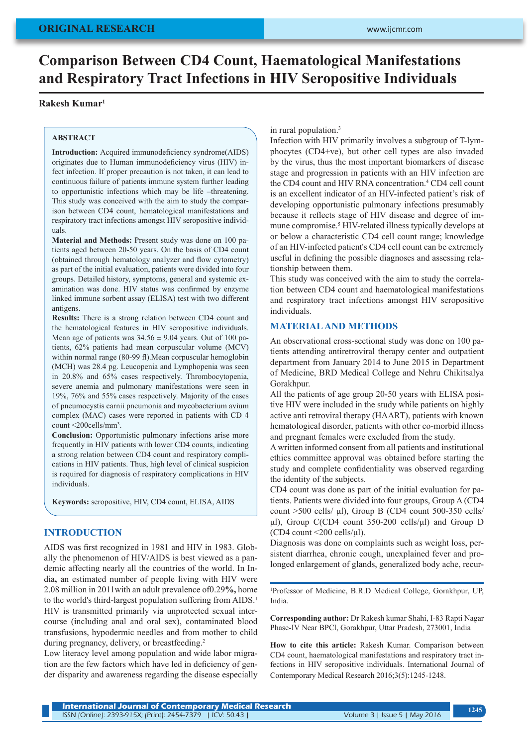# **Comparison Between CD4 Count, Haematological Manifestations and Respiratory Tract Infections in HIV Seropositive Individuals**

## **Rakesh Kumar1**

#### **ABSTRACT**

**Introduction:** Acquired immunodeficiency syndrome(AIDS) originates due to Human immunodeficiency virus (HIV) infect infection. If proper precaution is not taken, it can lead to continuous failure of patients immune system further leading to opportunistic infections which may be life –threatening. This study was conceived with the aim to study the comparison between CD4 count, hematological manifestations and respiratory tract infections amongst HIV seropositive individuals.

**Material and Methods:** Present study was done on 100 patients aged between 20-50 years. On the basis of CD4 count (obtained through hematology analyzer and flow cytometry) as part of the initial evaluation, patients were divided into four groups. Detailed history, symptoms, general and systemic examination was done. HIV status was confirmed by enzyme linked immune sorbent assay (ELISA) test with two different antigens.

**Results:** There is a strong relation between CD4 count and the hematological features in HIV seropositive individuals. Mean age of patients was  $34.56 \pm 9.04$  years. Out of 100 patients, 62% patients had mean corpuscular volume (MCV) within normal range (80-99 fl). Mean corpuscular hemoglobin (MCH) was 28.4 pg. Leucopenia and Lymphopenia was seen in 20.8% and 65% cases respectively. Thrombocytopenia, severe anemia and pulmonary manifestations were seen in 19%, 76% and 55% cases respectively. Majority of the cases of pneumocystis carnii pneumonia and mycobacterium avium complex (MAC) cases were reported in patients with CD 4 count <200cells/mm3 .

**Conclusion:** Opportunistic pulmonary infections arise more frequently in HIV patients with lower CD4 counts, indicating a strong relation between CD4 count and respiratory complications in HIV patients. Thus, high level of clinical suspicion is required for diagnosis of respiratory complications in HIV individuals.

**Keywords:** seropositive, HIV, CD4 count, ELISA, AIDS

## **INTRODUCTION**

AIDS was first recognized in 1981 and HIV in 1983. Globally the phenomenon of HIV/AIDS is best viewed as a pandemic affecting nearly all the countries of the world. In India**,** an estimated number of people living with HIV were 2.08 million in 2011with an adult prevalence of0.29**%,** home to the world's third-largest population suffering from AIDS.<sup>1</sup> HIV is transmitted primarily via unprotected sexual intercourse (including anal and oral sex), contaminated blood transfusions, hypodermic needles and from mother to child during pregnancy, delivery, or breastfeeding.<sup>2</sup>

Low literacy level among population and wide labor migration are the few factors which have led in deficiency of gender disparity and awareness regarding the disease especially in rural population.3

Infection with HIV primarily involves a subgroup of T-lymphocytes (CD4+ve), but other cell types are also invaded by the virus, thus the most important biomarkers of disease stage and progression in patients with an HIV infection are the CD4 count and HIV RNA concentration.<sup>4</sup> CD4 cell count is an excellent indicator of an HIV-infected patient's risk of developing opportunistic pulmonary infections presumably because it reflects stage of HIV disease and degree of immune compromise.<sup>5</sup> HIV-related illness typically develops at or below a characteristic CD4 cell count range; knowledge of an HIV-infected patient's CD4 cell count can be extremely useful in defining the possible diagnoses and assessing relationship between them.

This study was conceived with the aim to study the correlation between CD4 count and haematological manifestations and respiratory tract infections amongst HIV seropositive individuals.

#### **MATERIAL AND METHODS**

An observational cross-sectional study was done on 100 patients attending antiretroviral therapy center and outpatient department from January 2014 to June 2015 in Department of Medicine, BRD Medical College and Nehru Chikitsalya Gorakhpur.

All the patients of age group 20-50 years with ELISA positive HIV were included in the study while patients on highly active anti retroviral therapy (HAART), patients with known hematological disorder, patients with other co-morbid illness and pregnant females were excluded from the study.

A written informed consent from all patients and institutional ethics committee approval was obtained before starting the study and complete confidentiality was observed regarding the identity of the subjects.

CD4 count was done as part of the initial evaluation for patients. Patients were divided into four groups, Group A (CD4 count  $>500$  cells/  $\mu$ l), Group B (CD4 count 500-350 cells/ μl), Group C(CD4 count 350-200 cells/μl) and Group D (CD4 count  $\langle 200 \text{ cells/}\mu l \rangle$ ).

Diagnosis was done on complaints such as weight loss, persistent diarrhea, chronic cough, unexplained fever and prolonged enlargement of glands, generalized body ache, recur-

1 Professor of Medicine, B.R.D Medical College, Gorakhpur, UP, India.

**Corresponding author:** Dr Rakesh kumar Shahi, I-83 Rapti Nagar Phase-IV Near BPCl, Gorakhpur, Uttar Pradesh, 273001, India

**How to cite this article:** Rakesh Kumar. Comparison between CD4 count, haematological manifestations and respiratory tract infections in HIV seropositive individuals. International Journal of Contemporary Medical Research 2016;3(5):1245-1248.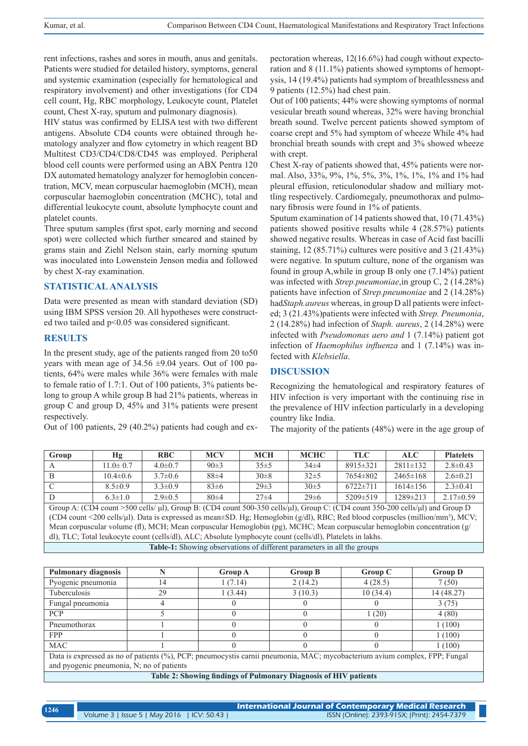rent infections, rashes and sores in mouth, anus and genitals. Patients were studied for detailed history, symptoms, general and systemic examination (especially for hematological and respiratory involvement) and other investigations (for CD4 cell count, Hg, RBC morphology, Leukocyte count, Platelet count, Chest X-ray, sputum and pulmonary diagnosis).

HIV status was confirmed by ELISA test with two different antigens. Absolute CD4 counts were obtained through hematology analyzer and flow cytometry in which reagent BD Multitest CD3/CD4/CD8/CD45 was employed. Peripheral blood cell counts were performed using an ABX Pentra 120 DX automated hematology analyzer for hemoglobin concentration, MCV, mean corpuscular haemoglobin (MCH), mean corpuscular haemoglobin concentration (MCHC), total and differential leukocyte count, absolute lymphocyte count and platelet counts.

Three sputum samples (first spot, early morning and second spot) were collected which further smeared and stained by grams stain and Ziehl Nelson stain, early morning sputum was inoculated into Lowenstein Jenson media and followed by chest X-ray examination.

## **STATISTICAL ANALYSIS**

Data were presented as mean with standard deviation (SD) using IBM SPSS version 20. All hypotheses were constructed two tailed and p<0.05 was considered significant.

#### **RESULTS**

In the present study, age of the patients ranged from 20 to50 years with mean age of  $34.56 \pm 9.04$  years. Out of 100 patients, 64% were males while 36% were females with male to female ratio of 1.7:1. Out of 100 patients, 3% patients belong to group A while group B had 21% patients, whereas in group C and group D, 45% and 31% patients were present respectively.

Out of 100 patients, 29 (40.2%) patients had cough and ex-

pectoration whereas, 12(16.6%) had cough without expectoration and 8 (11.1%) patients showed symptoms of hemoptysis, 14 (19.4%) patients had symptom of breathlessness and 9 patients (12.5%) had chest pain.

Out of 100 patients; 44% were showing symptoms of normal vesicular breath sound whereas, 32% were having bronchial breath sound. Twelve percent patients showed symptom of coarse crept and 5% had symptom of wheeze While 4% had bronchial breath sounds with crept and 3% showed wheeze with crept.

Chest X-ray of patients showed that, 45% patients were normal. Also, 33%, 9%, 1%, 5%, 3%, 1%, 1%, 1% and 1% had pleural effusion, reticulonodular shadow and milliary mottling respectively. Cardiomegaly, pneumothorax and pulmonary fibrosis were found in 1% of patients.

Sputum examination of 14 patients showed that, 10 (71.43%) patients showed positive results while 4 (28.57%) patients showed negative results. Whereas in case of Acid fast bacilli staining, 12 (85.71%) cultures were positive and 3 (21.43%) were negative. In sputum culture, none of the organism was found in group A,while in group B only one (7.14%) patient was infected with *Strep.pneumoniae*,in group C, 2 (14.28%) patients have infection of *Strep.pneumoniae* and 2 (14.28%) had*Staph.aureus* whereas, in group D all patients were infected; 3 (21.43%)patients were infected with *Strep. Pneumonia*, 2 (14.28%) had infection of *Staph. aureus*, 2 (14.28%) were infected with *Pseudomonas aero and* 1 (7.14%) patient got infection of *Haemophilus influenza* and 1 (7.14%) was infected with *Klebsiella*.

#### **DISCUSSION**

Recognizing the hematological and respiratory features of HIV infection is very important with the continuing rise in the prevalence of HIV infection particularly in a developing country like India.

The majority of the patients (48%) were in the age group of

| Group                                                                                                                                                | Hα             | <b>RBC</b>    | <b>MCV</b> | <b>MCH</b> | <b>MCHC</b> | <b>TLC</b>     | ALC.           | <b>Platelets</b> |
|------------------------------------------------------------------------------------------------------------------------------------------------------|----------------|---------------|------------|------------|-------------|----------------|----------------|------------------|
|                                                                                                                                                      | $11.0 \pm 0.7$ | $4.0 \pm 0.7$ | 90±3       | 35±5       | $34\pm4$    | $8915 \pm 321$ | $2811 \pm 132$ | $2.8 \pm 0.43$   |
| B                                                                                                                                                    | $10.4 \pm 0.6$ | $3.7\pm0.6$   | $88\pm4$   | $30\pm8$   | $32\pm5$    | $7654 \pm 802$ | $2465 \pm 168$ | $2.6 \pm 0.21$   |
| C                                                                                                                                                    | $8.5 \pm 0.9$  | $3.3 \pm 0.9$ | $83\pm6$   | $29\pm3$   | 30±5        | $6722 \pm 711$ | $1614 \pm 156$ | $2.3 \pm 0.41$   |
| D                                                                                                                                                    | $6.3 \pm 1.0$  | $2.9 \pm 0.5$ | $80+4$     | $27 + 4$   | $29 \pm 6$  | $5209 \pm 519$ | $1289 \pm 213$ | $2.17\pm0.59$    |
| Group A: $(CD4$ count >500 cells/ $\mu$ l), Group B: $(CD4$ count 500-350 cells/ $\mu$ l), Group C: $(CD4$ count 350-200 cells/ $\mu$ l) and Group D |                |               |            |            |             |                |                |                  |
| (CD4 count <200 cells/µl). Data is expressed as mean±SD. Hg; Hemoglobin (g/dl), RBC; Red blood corpuscles (million/mm <sup>3</sup> ), MCV;           |                |               |            |            |             |                |                |                  |
| Mean corpuscular volume (fl), MCH; Mean corpuscular Hemoglobin (pg), MCHC; Mean corpuscular hemoglobin concentration ( $g$ )                         |                |               |            |            |             |                |                |                  |

dl), TLC; Total leukocyte count (cells/dl), ALC; Absolute lymphocyte count (cells/dl), Platelets in lakhs.

**Table-1:** Showing observations of different parameters in all the groups

| <b>Pulmonary diagnosis</b>                                                                                                 |    | <b>Group A</b> | <b>Group B</b> | Group C  | <b>Group D</b> |
|----------------------------------------------------------------------------------------------------------------------------|----|----------------|----------------|----------|----------------|
| Pyogenic pneumonia                                                                                                         | ι4 | 1(7.14)        | 2(14.2)        | 4(28.5)  | 7(50)          |
| Tuberculosis                                                                                                               | 29 | 1(3.44)        | 3(10.3)        | 10(34.4) | 14 (48.27)     |
| Fungal pneumonia                                                                                                           |    |                |                |          | 3(75)          |
| <b>PCP</b>                                                                                                                 |    |                | $\theta$       | 1(20)    | 4(80)          |
| Pneumothorax                                                                                                               |    |                |                |          | 1(100)         |
| <b>FPP</b>                                                                                                                 |    |                |                |          | 1(100)         |
| <b>MAC</b>                                                                                                                 |    |                |                |          | 1(100)         |
| Data is expressed as no of patients (%), PCP; pneumocystis carnii pneumonia, MAC; mycobacterium avium complex, FPP; Fungal |    |                |                |          |                |
| and pyogenic pneumonia, N; no of patients                                                                                  |    |                |                |          |                |
| Table 2. Chapping findings of Dulmanary Diagnosis of HIV patients.                                                         |    |                |                |          |                |

**Table 2: Showing findings of Pulmonary Diagnosis of HIV patients**

| 1246 |                                            | International Journal of Contemporary Medical Research |  |  |
|------|--------------------------------------------|--------------------------------------------------------|--|--|
|      | Volume 3   Issue 5   May 2016   ICV: 50.43 | ISSN (Online): 2393-915X; (Print): 2454-7379           |  |  |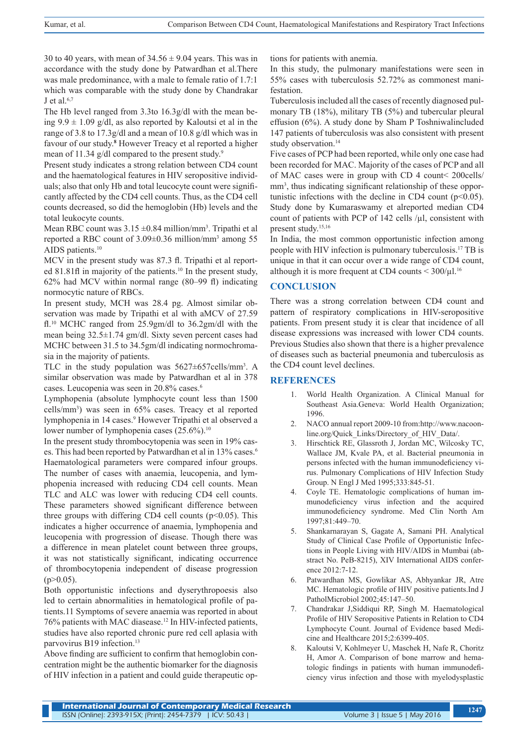30 to 40 years, with mean of  $34.56 \pm 9.04$  years. This was in accordance with the study done by Patwardhan et al.There was male predominance, with a male to female ratio of 1.7:1 which was comparable with the study done by Chandrakar J et al. $6,7$ 

The Hb level ranged from 3.3to 16.3g/dl with the mean being  $9.9 \pm 1.09$  g/dl, as also reported by Kaloutsi et al in the range of 3.8 to 17.3g/dl and a mean of 10.8 g/dl which was in favour of our study.**<sup>8</sup>** However Treacy et al reported a higher mean of 11.34 g/dl compared to the present study.<sup>9</sup>

Present study indicates a strong relation between CD4 count and the haematological features in HIV seropositive individuals; also that only Hb and total leucocyte count were significantly affected by the CD4 cell counts. Thus, as the CD4 cell counts decreased, so did the hemoglobin (Hb) levels and the total leukocyte counts.

Mean RBC count was  $3.15 \pm 0.84$  million/mm<sup>3</sup>. Tripathi et al reported a RBC count of 3.09±0.36 million/mm3 among 55 AIDS patients.<sup>10</sup>

MCV in the present study was 87.3 fl. Tripathi et al reported 81.81fl in majority of the patients.<sup>10</sup> In the present study, 62% had MCV within normal range (80–99 fl) indicating normocytic nature of RBCs.

In present study, MCH was 28.4 pg. Almost similar observation was made by Tripathi et al with aMCV of 27.59 fl.10 MCHC ranged from 25.9gm/dl to 36.2gm/dl with the mean being 32.5±1.74 gm/dl. Sixty seven percent cases had MCHC between 31.5 to 34.5gm/dl indicating normochromasia in the majority of patients.

TLC in the study population was 5627±657cells/mm3 . A similar observation was made by Patwardhan et al in 378 cases. Leucopenia was seen in 20.8% cases.6

Lymphopenia (absolute lymphocyte count less than 1500 cells/mm3 ) was seen in 65% cases. Treacy et al reported lymphopenia in 14 cases.<sup>9</sup> However Tripathi et al observed a lower number of lymphopenia cases (25.6%).<sup>10</sup>

In the present study thrombocytopenia was seen in 19% cases. This had been reported by Patwardhan et al in 13% cases.<sup>6</sup> Haematological parameters were compared infour groups. The number of cases with anaemia, leucopenia, and lymphopenia increased with reducing CD4 cell counts. Mean TLC and ALC was lower with reducing CD4 cell counts. These parameters showed significant difference between three groups with differing CD4 cell counts ( $p<0.05$ ). This indicates a higher occurrence of anaemia, lymphopenia and leucopenia with progression of disease. Though there was a difference in mean platelet count between three groups, it was not statistically significant, indicating occurrence of thrombocytopenia independent of disease progression  $(p>0.05)$ .

Both opportunistic infections and dyserythropoesis also led to certain abnormalities in hematological profile of patients.11 Symptoms of severe anaemia was reported in about 76% patients with MAC diasease.<sup>12</sup> In HIV-infected patients, studies have also reported chronic pure red cell aplasia with parvovirus B19 infection.<sup>13</sup>

Above finding are sufficient to confirm that hemoglobin concentration might be the authentic biomarker for the diagnosis of HIV infection in a patient and could guide therapeutic options for patients with anemia.

In this study, the pulmonary manifestations were seen in 55% cases with tuberculosis 52.72% as commonest manifestation.

Tuberculosis included all the cases of recently diagnosed pulmonary TB (18%), military TB (5%) and tubercular pleural effusion (6%). A study done by Sham P Toshniwalincluded 147 patients of tuberculosis was also consistent with present study observation.<sup>14</sup>

Five cases of PCP had been reported, while only one case had been recorded for MAC. Majority of the cases of PCP and all of MAC cases were in group with CD 4 count< 200cells/ mm<sup>3</sup>, thus indicating significant relationship of these opportunistic infections with the decline in CD4 count  $(p<0.05)$ . Study done by Kumaraswamy et alreported median CD4 count of patients with PCP of 142 cells /µl, consistent with present study.15,16

In India, the most common opportunistic infection among people with HIV infection is pulmonary tuberculosis.17 TB is unique in that it can occur over a wide range of CD4 count, although it is more frequent at CD4 counts  $<$  300/ $\mu$ l.<sup>16</sup>

## **CONCLUSION**

There was a strong correlation between CD4 count and pattern of respiratory complications in HIV-seropositive patients. From present study it is clear that incidence of all disease expressions was increased with lower CD4 counts. Previous Studies also shown that there is a higher prevalence of diseases such as bacterial pneumonia and tuberculosis as the CD4 count level declines.

## **REFERENCES**

- 1. World Health Organization. A Clinical Manual for Southeast Asia.Geneva: World Health Organization; 1996.
- 2. NACO annual report 2009-10 from:http://www.nacoonline.org/Quick\_Links/Directory\_of\_HIV\_Data/.
- 3. Hirschtick RE, Glassroth J, Jordan MC, Wilcosky TC, Wallace JM, Kvale PA, et al. Bacterial pneumonia in persons infected with the human immunodeficiency virus. Pulmonary Complications of HIV Infection Study Group. N Engl J Med 1995;333:845-51.
- Coyle TE. Hematologic complications of human immunodeficiency virus infection and the acquired immunodeficiency syndrome. Med Clin North Am 1997;81:449–70.
- 5. Shankarnarayan S, Gagate A, Samani PH. Analytical Study of Clinical Case Profile of Opportunistic Infections in People Living with HIV/AIDS in Mumbai (abstract No. PeB-8215), XIV International AIDS conference 2012:7-12.
- 6. Patwardhan MS, Gowlikar AS, Abhyankar JR, Atre MC. Hematologic profile of HIV positive patients.Ind J PatholMicrobiol 2002;45:147–50.
- 7. Chandrakar J,Siddiqui RP, Singh M. Haematological Profile of HIV Seropositive Patients in Relation to CD4 Lymphocyte Count. Journal of Evidence based Medicine and Healthcare 2015;2:6399-405.
- 8. Kaloutsi V, Kohlmeyer U, Maschek H, Nafe R, Choritz H, Amor A. Comparison of bone marrow and hematologic findings in patients with human immunodeficiency virus infection and those with myelodysplastic